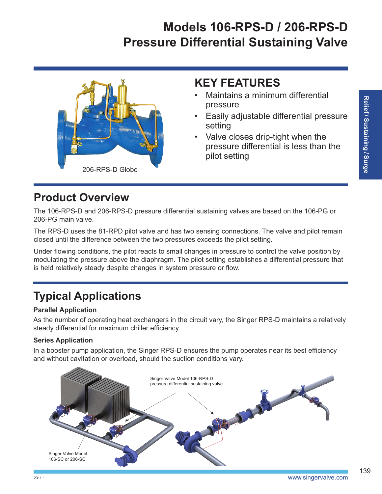# **Models 106-RPS-D / 206-RPS-D Pressure Differential Sustaining Valve**



### **KEY FEATURES**

- Maintains a minimum differential pressure
- Easily adjustable differential pressure setting
- Valve closes drip-tight when the pressure differential is less than the pilot setting

# **Product Overview**

The 106-RPS-D and 206-RPS-D pressure differential sustaining valves are based on the 106-PG or 206-PG main valve.

The RPS-D uses the 81-RPD pilot valve and has two sensing connections. The valve and pilot remain closed until the difference between the two pressures exceeds the pilot setting.

Under flowing conditions, the pilot reacts to small changes in pressure to control the valve position by modulating the pressure above the diaphragm. The pilot setting establishes a differential pressure that is held relatively steady despite changes in system pressure or flow.

# **Typical Applications**

#### **Parallel Application**

As the number of operating heat exchangers in the circuit vary, the Singer RPS-D maintains a relatively steady differential for maximum chiller efficiency.

#### **Series Application**

In a booster pump application, the Singer RPS-D ensures the pump operates near its best efficiency and without cavitation or overload, should the suction conditions vary.



139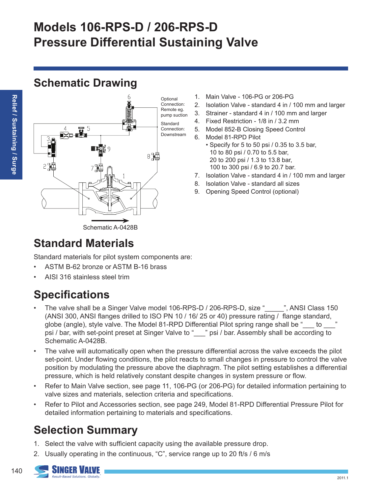# **Models 106-RPS-D / 206-RPS-D Pressure Differential Sustaining Valve**

### **Schematic Drawing**



- 1. Main Valve 106-PG or 206-PG
- 2. Isolation Valve standard 4 in / 100 mm and larger
- 3. Strainer standard 4 in / 100 mm and larger
- 4. Fixed Restriction 1/8 in / 3.2 mm
- 5. Model 852-B Closing Speed Control
- 6. Model 81-RPD Pilot
	- Specify for 5 to 50 psi / 0.35 to 3.5 bar, 10 to 80 psi / 0.70 to 5.5 bar, 20 to 200 psi / 1.3 to 13.8 bar, 100 to 300 psi / 6.9 to 20.7 bar.
- 7. Isolation Valve standard 4 in / 100 mm and larger
- 8. Isolation Valve standard all sizes
- 9. Opening Speed Control (optional)

### **Standard Materials**

Standard materials for pilot system components are:

- ASTM B-62 bronze or ASTM B-16 brass
- AISI 316 stainless steel trim

## **Specifications**

- The valve shall be a Singer Valve model 106-RPS-D / 206-RPS-D, size "\_\_\_\_\_", ANSI Class 150 (ANSI 300, ANSI flanges drilled to ISO PN 10 / 16/ 25 or 40) pressure rating / flange standard, globe (angle), style valve. The Model 81-RPD Differential Pilot spring range shall be "\_\_\_ to psi / bar, with set-point preset at Singer Valve to "\_\_\_" psi / bar. Assembly shall be according to Schematic A-0428B.
- The valve will automatically open when the pressure differential across the valve exceeds the pilot set-point. Under flowing conditions, the pilot reacts to small changes in pressure to control the valve position by modulating the pressure above the diaphragm. The pilot setting establishes a differential pressure, which is held relatively constant despite changes in system pressure or flow.
- Refer to Main Valve section, see page 11, 106-PG (or 206-PG) for detailed information pertaining to valve sizes and materials, selection criteria and specifications.
- Refer to Pilot and Accessories section, see page 249, Model 81-RPD Differential Pressure Pilot for detailed information pertaining to materials and specifications.

## **Selection Summary**

- 1. Select the valve with sufficient capacity using the available pressure drop.
- 2. Usually operating in the continuous, "C", service range up to 20 ft/s / 6 m/s



140